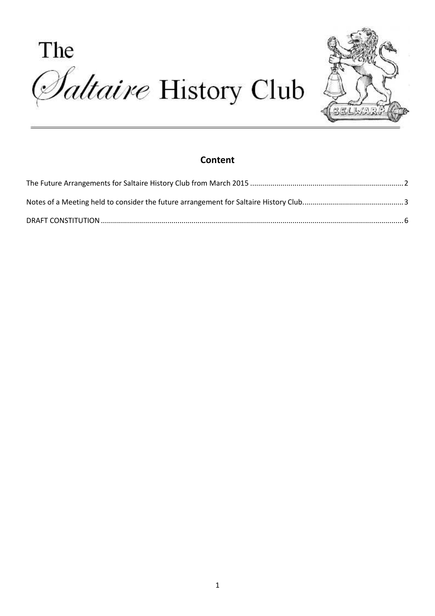The *Adtaire History Club* 



### **Content**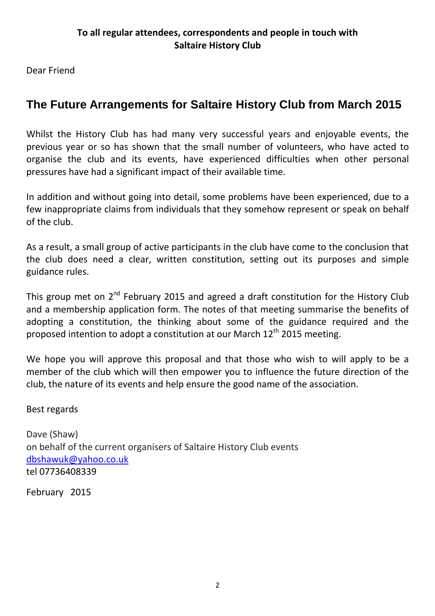Dear Friend

# **The Future Arrangements for Saltaire History Club from March 2015**

Whilst the History Club has had many very successful years and enjoyable events, the previous year or so has shown that the small number of volunteers, who have acted to organise the club and its events, have experienced difficulties when other personal pressures have had a significant impact of their available time.

In addition and without going into detail, some problems have been experienced, due to a few inappropriate claims from individuals that they somehow represent or speak on behalf of the club.

As a result, a small group of active participants in the club have come to the conclusion that the club does need a clear, written constitution, setting out its purposes and simple guidance rules.

This group met on  $2^{nd}$  February 2015 and agreed a draft constitution for the History Club and a membership application form. The notes of that meeting summarise the benefits of adopting a constitution, the thinking about some of the guidance required and the proposed intention to adopt a constitution at our March  $12<sup>th</sup>$  2015 meeting.

We hope you will approve this proposal and that those who wish to will apply to be a member of the club which will then empower you to influence the future direction of the club, the nature of its events and help ensure the good name of the association.

Best regards

Dave (Shaw) on behalf of the current organisers of Saltaire History Club events dbshawuk@yahoo.co.uk tel 07736408339

February 2015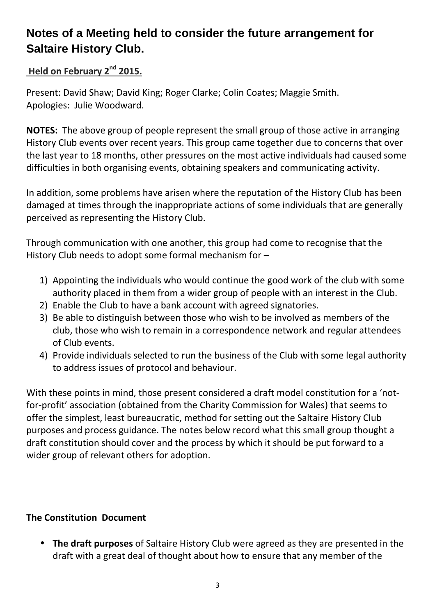# **Notes of a Meeting held to consider the future arrangement for Saltaire History Club.**

# **Held on February 2nd 2015.**

Present: David Shaw; David King; Roger Clarke; Colin Coates; Maggie Smith. Apologies: Julie Woodward.

**NOTES:** The above group of people represent the small group of those active in arranging History Club events over recent years. This group came together due to concerns that over the last year to 18 months, other pressures on the most active individuals had caused some difficulties in both organising events, obtaining speakers and communicating activity.

In addition, some problems have arisen where the reputation of the History Club has been damaged at times through the inappropriate actions of some individuals that are generally perceived as representing the History Club.

Through communication with one another, this group had come to recognise that the History Club needs to adopt some formal mechanism for –

- 1) Appointing the individuals who would continue the good work of the club with some authority placed in them from a wider group of people with an interest in the Club.
- 2) Enable the Club to have a bank account with agreed signatories.
- 3) Be able to distinguish between those who wish to be involved as members of the club, those who wish to remain in a correspondence network and regular attendees of Club events.
- 4) Provide individuals selected to run the business of the Club with some legal authority to address issues of protocol and behaviour.

With these points in mind, those present considered a draft model constitution for a 'notfor-profit' association (obtained from the Charity Commission for Wales) that seems to offer the simplest, least bureaucratic, method for setting out the Saltaire History Club purposes and process guidance. The notes below record what this small group thought a draft constitution should cover and the process by which it should be put forward to a wider group of relevant others for adoption.

## **The Constitution Document**

• **The draft purposes** of Saltaire History Club were agreed as they are presented in the draft with a great deal of thought about how to ensure that any member of the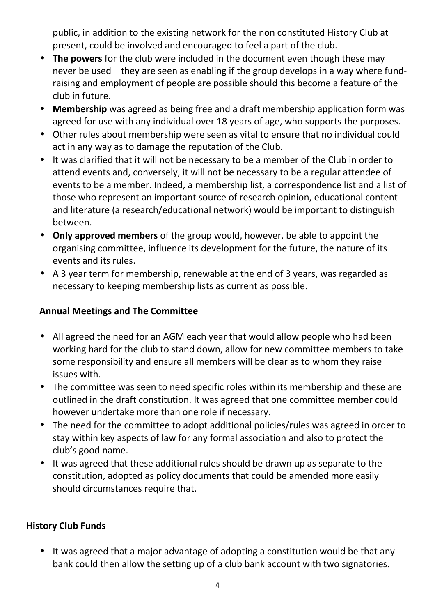public, in addition to the existing network for the non constituted History Club at present, could be involved and encouraged to feel a part of the club.

- **The powers** for the club were included in the document even though these may never be used – they are seen as enabling if the group develops in a way where fundraising and employment of people are possible should this become a feature of the club in future.
- **Membership** was agreed as being free and a draft membership application form was agreed for use with any individual over 18 years of age, who supports the purposes.
- Other rules about membership were seen as vital to ensure that no individual could act in any way as to damage the reputation of the Club.
- It was clarified that it will not be necessary to be a member of the Club in order to attend events and, conversely, it will not be necessary to be a regular attendee of events to be a member. Indeed, a membership list, a correspondence list and a list of those who represent an important source of research opinion, educational content and literature (a research/educational network) would be important to distinguish between.
- **Only approved members** of the group would, however, be able to appoint the organising committee, influence its development for the future, the nature of its events and its rules.
- A 3 year term for membership, renewable at the end of 3 years, was regarded as necessary to keeping membership lists as current as possible.

# **Annual Meetings and The Committee**

- All agreed the need for an AGM each year that would allow people who had been working hard for the club to stand down, allow for new committee members to take some responsibility and ensure all members will be clear as to whom they raise issues with.
- The committee was seen to need specific roles within its membership and these are outlined in the draft constitution. It was agreed that one committee member could however undertake more than one role if necessary.
- The need for the committee to adopt additional policies/rules was agreed in order to stay within key aspects of law for any formal association and also to protect the club's good name.
- It was agreed that these additional rules should be drawn up as separate to the constitution, adopted as policy documents that could be amended more easily should circumstances require that.

## **History Club Funds**

• It was agreed that a major advantage of adopting a constitution would be that any bank could then allow the setting up of a club bank account with two signatories.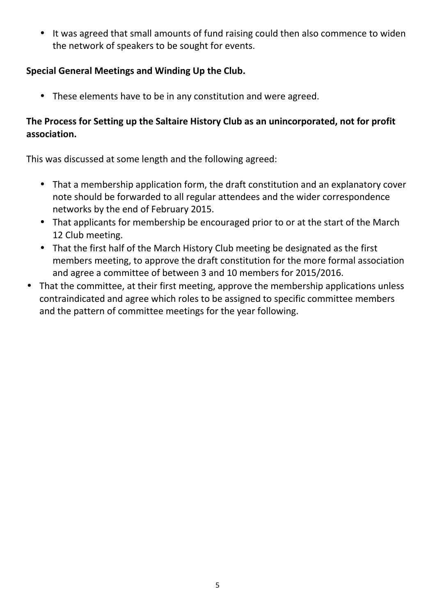• It was agreed that small amounts of fund raising could then also commence to widen the network of speakers to be sought for events.

## **Special General Meetings and Winding Up the Club.**

• These elements have to be in any constitution and were agreed.

# **The Process for Setting up the Saltaire History Club as an unincorporated, not for profit association.**

This was discussed at some length and the following agreed:

- That a membership application form, the draft constitution and an explanatory cover note should be forwarded to all regular attendees and the wider correspondence networks by the end of February 2015.
- That applicants for membership be encouraged prior to or at the start of the March 12 Club meeting.
- That the first half of the March History Club meeting be designated as the first members meeting, to approve the draft constitution for the more formal association and agree a committee of between 3 and 10 members for 2015/2016.
- That the committee, at their first meeting, approve the membership applications unless contraindicated and agree which roles to be assigned to specific committee members and the pattern of committee meetings for the year following.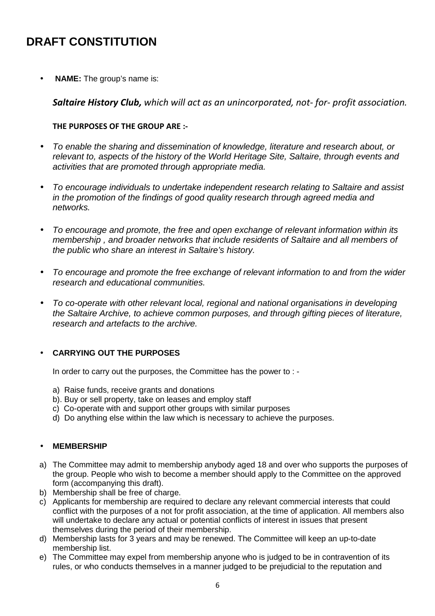# **DRAFT CONSTITUTION**

• **NAME:** The group's name is:

*Saltaire History Club, which will act as an unincorporated, not- for- profit association.* 

### **THE PURPOSES OF THE GROUP ARE :-**

- To enable the sharing and dissemination of knowledge, literature and research about, or relevant to, aspects of the history of the World Heritage Site, Saltaire, through events and activities that are promoted through appropriate media.
- To encourage individuals to undertake independent research relating to Saltaire and assist in the promotion of the findings of good quality research through agreed media and networks.
- To encourage and promote, the free and open exchange of relevant information within its membership , and broader networks that include residents of Saltaire and all members of the public who share an interest in Saltaire's history.
- To encourage and promote the free exchange of relevant information to and from the wider research and educational communities.
- To co-operate with other relevant local, regional and national organisations in developing the Saltaire Archive, to achieve common purposes, and through gifting pieces of literature, research and artefacts to the archive.

### • **CARRYING OUT THE PURPOSES**

In order to carry out the purposes, the Committee has the power to : -

- a) Raise funds, receive grants and donations
- b). Buy or sell property, take on leases and employ staff
- c) Co-operate with and support other groups with similar purposes
- d) Do anything else within the law which is necessary to achieve the purposes.

#### • **MEMBERSHIP**

- a) The Committee may admit to membership anybody aged 18 and over who supports the purposes of the group. People who wish to become a member should apply to the Committee on the approved form (accompanying this draft).
- b) Membership shall be free of charge.
- c) Applicants for membership are required to declare any relevant commercial interests that could conflict with the purposes of a not for profit association, at the time of application. All members also will undertake to declare any actual or potential conflicts of interest in issues that present themselves during the period of their membership.
- d) Membership lasts for 3 years and may be renewed. The Committee will keep an up-to-date membership list.
- e) The Committee may expel from membership anyone who is judged to be in contravention of its rules, or who conducts themselves in a manner judged to be prejudicial to the reputation and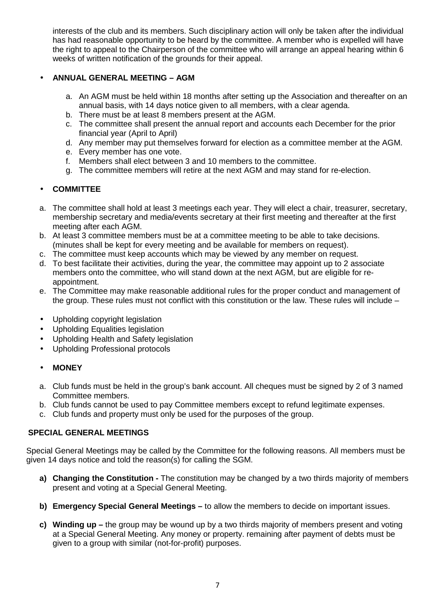interests of the club and its members. Such disciplinary action will only be taken after the individual has had reasonable opportunity to be heard by the committee. A member who is expelled will have the right to appeal to the Chairperson of the committee who will arrange an appeal hearing within 6 weeks of written notification of the grounds for their appeal.

### • **ANNUAL GENERAL MEETING – AGM**

- a. An AGM must be held within 18 months after setting up the Association and thereafter on an annual basis, with 14 days notice given to all members, with a clear agenda.
- b. There must be at least 8 members present at the AGM.
- c. The committee shall present the annual report and accounts each December for the prior financial year (April to April)
- d. Any member may put themselves forward for election as a committee member at the AGM.
- e. Every member has one vote.
- f. Members shall elect between 3 and 10 members to the committee.
- g. The committee members will retire at the next AGM and may stand for re-election.

### • **COMMITTEE**

- a. The committee shall hold at least 3 meetings each year. They will elect a chair, treasurer, secretary, membership secretary and media/events secretary at their first meeting and thereafter at the first meeting after each AGM.
- b. At least 3 committee members must be at a committee meeting to be able to take decisions. (minutes shall be kept for every meeting and be available for members on request).
- c. The committee must keep accounts which may be viewed by any member on request.
- d. To best facilitate their activities, during the year, the committee may appoint up to 2 associate members onto the committee, who will stand down at the next AGM, but are eligible for reappointment.
- e. The Committee may make reasonable additional rules for the proper conduct and management of the group. These rules must not conflict with this constitution or the law. These rules will include –
- Upholding copyright legislation
- Upholding Equalities legislation
- Upholding Health and Safety legislation
- Upholding Professional protocols

#### • **MONEY**

- a. Club funds must be held in the group's bank account. All cheques must be signed by 2 of 3 named Committee members.
- b. Club funds cannot be used to pay Committee members except to refund legitimate expenses.
- c. Club funds and property must only be used for the purposes of the group.

#### **SPECIAL GENERAL MEETINGS**

Special General Meetings may be called by the Committee for the following reasons. All members must be given 14 days notice and told the reason(s) for calling the SGM.

- **a) Changing the Constitution** The constitution may be changed by a two thirds majority of members present and voting at a Special General Meeting.
- **b) Emergency Special General Meetings** to allow the members to decide on important issues.
- **c) Winding up** the group may be wound up by a two thirds majority of members present and voting at a Special General Meeting. Any money or property. remaining after payment of debts must be given to a group with similar (not-for-profit) purposes.